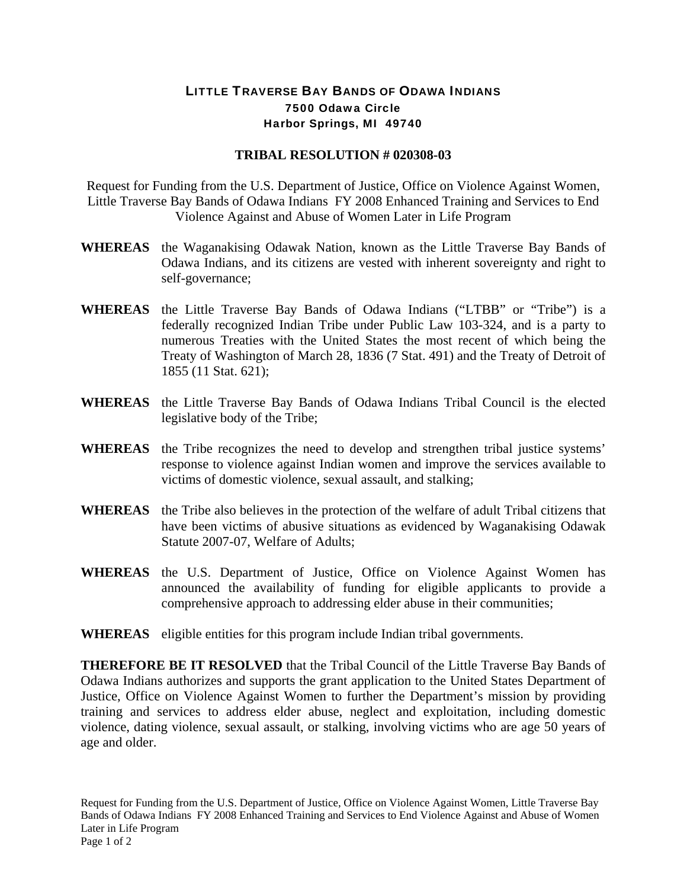## LITTLE TRAVERSE BAY BANDS OF ODAWA INDIANS 7500 Odawa Circle Harbor Springs, MI 49740

## **TRIBAL RESOLUTION # 020308-03**

Request for Funding from the U.S. Department of Justice, Office on Violence Against Women, Little Traverse Bay Bands of Odawa Indians FY 2008 Enhanced Training and Services to End Violence Against and Abuse of Women Later in Life Program

- **WHEREAS** the Waganakising Odawak Nation, known as the Little Traverse Bay Bands of Odawa Indians, and its citizens are vested with inherent sovereignty and right to self-governance;
- **WHEREAS** the Little Traverse Bay Bands of Odawa Indians ("LTBB" or "Tribe") is a federally recognized Indian Tribe under Public Law 103-324, and is a party to numerous Treaties with the United States the most recent of which being the Treaty of Washington of March 28, 1836 (7 Stat. 491) and the Treaty of Detroit of 1855 (11 Stat. 621);
- **WHEREAS** the Little Traverse Bay Bands of Odawa Indians Tribal Council is the elected legislative body of the Tribe;
- **WHEREAS** the Tribe recognizes the need to develop and strengthen tribal justice systems' response to violence against Indian women and improve the services available to victims of domestic violence, sexual assault, and stalking;
- **WHEREAS** the Tribe also believes in the protection of the welfare of adult Tribal citizens that have been victims of abusive situations as evidenced by Waganakising Odawak Statute 2007-07, Welfare of Adults;
- **WHEREAS** the U.S. Department of Justice, Office on Violence Against Women has announced the availability of funding for eligible applicants to provide a comprehensive approach to addressing elder abuse in their communities;
- **WHEREAS** eligible entities for this program include Indian tribal governments.

**THEREFORE BE IT RESOLVED** that the Tribal Council of the Little Traverse Bay Bands of Odawa Indians authorizes and supports the grant application to the United States Department of Justice, Office on Violence Against Women to further the Department's mission by providing training and services to address elder abuse, neglect and exploitation, including domestic violence, dating violence, sexual assault, or stalking, involving victims who are age 50 years of age and older.